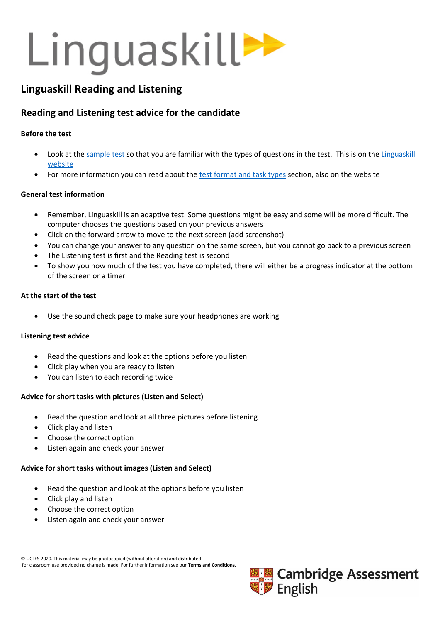## Linguaskill>>

## **Linguaskill Reading and Listening**

## **Reading and Listening test advice for the candidate**

## **Before the test**

- Look at the [sample test](https://www.cambridgeenglish.org/exams-and-tests/linguaskill/information-about-the-test/practice-materials/) so that you are familiar with the types of questions in the test. This is on the Linguaskill [website](https://www.cambridgeenglish.org/exams-and-tests/linguaskill/)
- For more information you can read about the [test format and task types](https://www.cambridgeenglish.org/exams-and-tests/linguaskill/information-about-the-test/test-formats-and-task-types/) section, also on the website

## **General test information**

- Remember, Linguaskill is an adaptive test. Some questions might be easy and some will be more difficult. The computer chooses the questions based on your previous answers
- Click on the forward arrow to move to the next screen (add screenshot)
- You can change your answer to any question on the same screen, but you cannot go back to a previous screen
- The Listening test is first and the Reading test is second
- To show you how much of the test you have completed, there will either be a progress indicator at the bottom of the screen or a timer

## **At the start of the test**

• Use the sound check page to make sure your headphones are working

## **Listening test advice**

- Read the questions and look at the options before you listen
- Click play when you are ready to listen
- You can listen to each recording twice

## **Advice for short tasks with pictures (Listen and Select)**

- Read the question and look at all three pictures before listening
- Click play and listen
- Choose the correct option
- Listen again and check your answer

## **Advice for short tasks without images (Listen and Select)**

- Read the question and look at the options before you listen
- Click play and listen
- Choose the correct option
- Listen again and check your answer